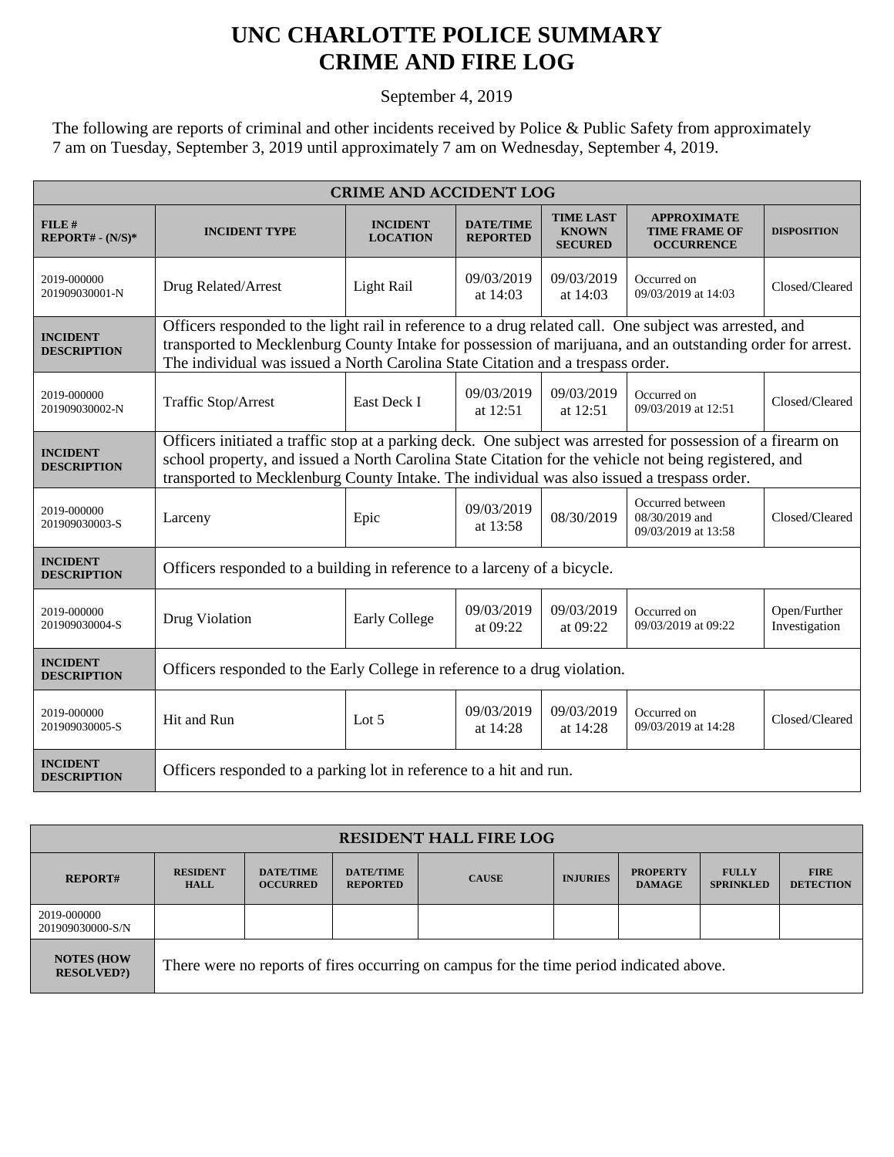## **UNC CHARLOTTE POLICE SUMMARY CRIME AND FIRE LOG**

September 4, 2019

The following are reports of criminal and other incidents received by Police & Public Safety from approximately 7 am on Tuesday, September 3, 2019 until approximately 7 am on Wednesday, September 4, 2019.

| <b>CRIME AND ACCIDENT LOG</b>         |                                                                                                                                                                                                                                                                                                                     |                                    |                                     |                                                    |                                                                 |                               |  |
|---------------------------------------|---------------------------------------------------------------------------------------------------------------------------------------------------------------------------------------------------------------------------------------------------------------------------------------------------------------------|------------------------------------|-------------------------------------|----------------------------------------------------|-----------------------------------------------------------------|-------------------------------|--|
| $FILE$ #<br>$REPORT# - (N/S)*$        | <b>INCIDENT TYPE</b>                                                                                                                                                                                                                                                                                                | <b>INCIDENT</b><br><b>LOCATION</b> | <b>DATE/TIME</b><br><b>REPORTED</b> | <b>TIME LAST</b><br><b>KNOWN</b><br><b>SECURED</b> | <b>APPROXIMATE</b><br><b>TIME FRAME OF</b><br><b>OCCURRENCE</b> | <b>DISPOSITION</b>            |  |
| 2019-000000<br>201909030001-N         | Drug Related/Arrest                                                                                                                                                                                                                                                                                                 | Light Rail                         | 09/03/2019<br>at $14:03$            | 09/03/2019<br>at 14:03                             | Occurred on<br>09/03/2019 at 14:03                              | Closed/Cleared                |  |
| <b>INCIDENT</b><br><b>DESCRIPTION</b> | Officers responded to the light rail in reference to a drug related call. One subject was arrested, and<br>transported to Mecklenburg County Intake for possession of marijuana, and an outstanding order for arrest.<br>The individual was issued a North Carolina State Citation and a trespass order.            |                                    |                                     |                                                    |                                                                 |                               |  |
| 2019-000000<br>201909030002-N         | Traffic Stop/Arrest                                                                                                                                                                                                                                                                                                 | East Deck I                        | 09/03/2019<br>at 12:51              | 09/03/2019<br>at 12:51                             | Occurred on<br>09/03/2019 at 12:51                              | Closed/Cleared                |  |
| <b>INCIDENT</b><br><b>DESCRIPTION</b> | Officers initiated a traffic stop at a parking deck. One subject was arrested for possession of a firearm on<br>school property, and issued a North Carolina State Citation for the vehicle not being registered, and<br>transported to Mecklenburg County Intake. The individual was also issued a trespass order. |                                    |                                     |                                                    |                                                                 |                               |  |
| 2019-000000<br>201909030003-S         | Larceny                                                                                                                                                                                                                                                                                                             | Epic                               | 09/03/2019<br>at 13:58              | 08/30/2019                                         | Occurred between<br>08/30/2019 and<br>09/03/2019 at 13:58       | Closed/Cleared                |  |
| <b>INCIDENT</b><br><b>DESCRIPTION</b> | Officers responded to a building in reference to a larceny of a bicycle.                                                                                                                                                                                                                                            |                                    |                                     |                                                    |                                                                 |                               |  |
| 2019-000000<br>201909030004-S         | Drug Violation                                                                                                                                                                                                                                                                                                      | <b>Early College</b>               | 09/03/2019<br>at $09:22$            | 09/03/2019<br>at $09:22$                           | Occurred on<br>09/03/2019 at 09:22                              | Open/Further<br>Investigation |  |
| <b>INCIDENT</b><br><b>DESCRIPTION</b> | Officers responded to the Early College in reference to a drug violation.                                                                                                                                                                                                                                           |                                    |                                     |                                                    |                                                                 |                               |  |
| 2019-000000<br>201909030005-S         | Hit and Run                                                                                                                                                                                                                                                                                                         | Lot $5$                            | 09/03/2019<br>at 14:28              | 09/03/2019<br>at 14:28                             | Occurred on<br>09/03/2019 at 14:28                              | Closed/Cleared                |  |
| <b>INCIDENT</b><br><b>DESCRIPTION</b> | Officers responded to a parking lot in reference to a hit and run.                                                                                                                                                                                                                                                  |                                    |                                     |                                                    |                                                                 |                               |  |

| <b>RESIDENT HALL FIRE LOG</b>         |                                                                                         |                                     |                                     |              |                 |                                  |                                  |                                 |
|---------------------------------------|-----------------------------------------------------------------------------------------|-------------------------------------|-------------------------------------|--------------|-----------------|----------------------------------|----------------------------------|---------------------------------|
| <b>REPORT#</b>                        | <b>RESIDENT</b><br><b>HALL</b>                                                          | <b>DATE/TIME</b><br><b>OCCURRED</b> | <b>DATE/TIME</b><br><b>REPORTED</b> | <b>CAUSE</b> | <b>INJURIES</b> | <b>PROPERTY</b><br><b>DAMAGE</b> | <b>FULLY</b><br><b>SPRINKLED</b> | <b>FIRE</b><br><b>DETECTION</b> |
| 2019-000000<br>201909030000-S/N       |                                                                                         |                                     |                                     |              |                 |                                  |                                  |                                 |
| <b>NOTES (HOW</b><br><b>RESOLVED?</b> | There were no reports of fires occurring on campus for the time period indicated above. |                                     |                                     |              |                 |                                  |                                  |                                 |